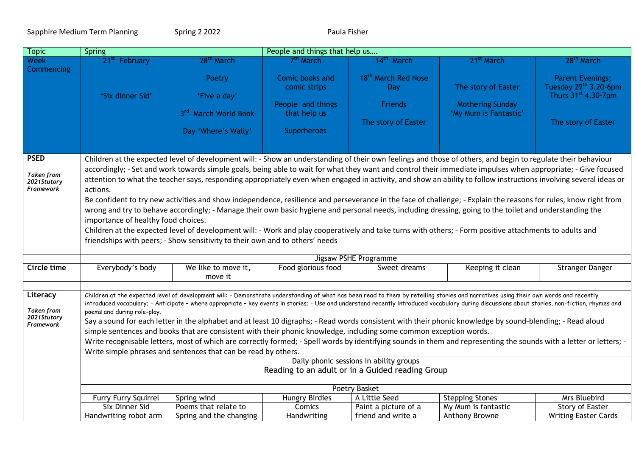Sapphire Medium Term Planning Spring 2 2022 Spring 2 2022 Paula Fisher

| <b>Topic</b>                                              | <b>Spring</b>                                                                                                                                                                                                                                                                                                                                                                                                                                                                                                                                                                                                                                                                                                                                                                                                                                                                                                                                                                                                                                    |                                                                       | People and things that help us                                                             |                                                                          |                                                                                                                                                              |                                                                                                            |  |  |
|-----------------------------------------------------------|--------------------------------------------------------------------------------------------------------------------------------------------------------------------------------------------------------------------------------------------------------------------------------------------------------------------------------------------------------------------------------------------------------------------------------------------------------------------------------------------------------------------------------------------------------------------------------------------------------------------------------------------------------------------------------------------------------------------------------------------------------------------------------------------------------------------------------------------------------------------------------------------------------------------------------------------------------------------------------------------------------------------------------------------------|-----------------------------------------------------------------------|--------------------------------------------------------------------------------------------|--------------------------------------------------------------------------|--------------------------------------------------------------------------------------------------------------------------------------------------------------|------------------------------------------------------------------------------------------------------------|--|--|
| <b>Week</b>                                               | 21 <sup>st</sup> February                                                                                                                                                                                                                                                                                                                                                                                                                                                                                                                                                                                                                                                                                                                                                                                                                                                                                                                                                                                                                        | 28 <sup>th</sup> March                                                | $7^{\rm m}$ March                                                                          | 14 <sup>th</sup> March                                                   | 21 <sup>st</sup> March                                                                                                                                       | 28 <sup>th</sup> March                                                                                     |  |  |
| Commencing                                                | 'Six dinner Sid'                                                                                                                                                                                                                                                                                                                                                                                                                                                                                                                                                                                                                                                                                                                                                                                                                                                                                                                                                                                                                                 | Poetry<br>'Five a day'<br>3rd March World Book<br>Day 'Where's Wally' | Comic books and<br>comic strips<br>People and things<br>that help us<br><b>Superheroes</b> | 18 <sup>th</sup> March Red Nose<br>Day<br>Friends<br>The story of Easter | The story of Easter<br><b>Mothering Sunday</b><br>'My Mum is Fantastic'                                                                                      | <b>Parent Evenings;</b><br>Tuesday 29th 3.20-6pm<br>Thurs 31 <sup>st</sup> 4.30-7pm<br>The story of Easter |  |  |
| <b>PSED</b>                                               |                                                                                                                                                                                                                                                                                                                                                                                                                                                                                                                                                                                                                                                                                                                                                                                                                                                                                                                                                                                                                                                  |                                                                       |                                                                                            |                                                                          | Children at the expected level of development will: - Show an understanding of their own feelings and those of others, and begin to regulate their behaviour |                                                                                                            |  |  |
| <b>Taken from</b><br>2021Stutory<br><b>Framework</b>      | accordingly; - Set and work towards simple goals, being able to wait for what they want and control their immediate impulses when appropriate; - Give focused<br>attention to what the teacher says, responding appropriately even when engaged in activity, and show an ability to follow instructions involving several ideas or<br>actions.<br>Be confident to try new activities and show independence, resilience and perseverance in the face of challenge; - Explain the reasons for rules, know right from<br>wrong and try to behave accordingly; - Manage their own basic hygiene and personal needs, including dressing, going to the toilet and understanding the<br>importance of healthy food choices.<br>Children at the expected level of development will: - Work and play cooperatively and take turns with others; - Form positive attachments to adults and<br>friendships with peers; - Show sensitivity to their own and to others' needs                                                                                  |                                                                       |                                                                                            |                                                                          |                                                                                                                                                              |                                                                                                            |  |  |
|                                                           | Jigsaw PSHE Programme                                                                                                                                                                                                                                                                                                                                                                                                                                                                                                                                                                                                                                                                                                                                                                                                                                                                                                                                                                                                                            |                                                                       |                                                                                            |                                                                          |                                                                                                                                                              |                                                                                                            |  |  |
| <b>Circle time</b>                                        | Everybody's body                                                                                                                                                                                                                                                                                                                                                                                                                                                                                                                                                                                                                                                                                                                                                                                                                                                                                                                                                                                                                                 | We like to move it,<br>move it                                        | Food glorious food                                                                         | Sweet dreams                                                             | Keeping it clean                                                                                                                                             | Stranger Danger                                                                                            |  |  |
| Literacy<br><b>Taken from</b><br>2021Stutory<br>Framework | Children at the expected level of development will: - Demonstrate understanding of what has been read to them by retelling stories and narratives using their own words and recently<br>introduced vocabulary; - Anticipate - where appropriate - key events in stories; - Use and understand recently introduced vocabulary during discussions about stories, non-fiction, rhymes and<br>poems and during role-play.<br>Say a sound for each letter in the alphabet and at least 10 digraphs; - Read words consistent with their phonic knowledge by sound-blending; - Read aloud<br>simple sentences and books that are consistent with their phonic knowledge, including some common exception words.<br>Write recognisable letters, most of which are correctly formed; - Spell words by identifying sounds in them and representing the sounds with a letter or letters; -<br>Write simple phrases and sentences that can be read by others.<br>Daily phonic sessions in ability groups<br>Reading to an adult or in a Guided reading Group |                                                                       |                                                                                            |                                                                          |                                                                                                                                                              |                                                                                                            |  |  |
|                                                           | Poetry Basket                                                                                                                                                                                                                                                                                                                                                                                                                                                                                                                                                                                                                                                                                                                                                                                                                                                                                                                                                                                                                                    |                                                                       |                                                                                            |                                                                          |                                                                                                                                                              |                                                                                                            |  |  |
|                                                           | Furry Furry Squirrel                                                                                                                                                                                                                                                                                                                                                                                                                                                                                                                                                                                                                                                                                                                                                                                                                                                                                                                                                                                                                             | Spring wind                                                           | <b>Hungry Birdies</b>                                                                      | A Little Seed                                                            | <b>Stepping Stones</b>                                                                                                                                       | Mrs Bluebird                                                                                               |  |  |
|                                                           | <b>Six Dinner Sid</b>                                                                                                                                                                                                                                                                                                                                                                                                                                                                                                                                                                                                                                                                                                                                                                                                                                                                                                                                                                                                                            | Poems that relate to                                                  | <b>Comics</b>                                                                              | Paint a picture of a                                                     | My Mum is fantastic                                                                                                                                          | Story of Easter                                                                                            |  |  |
|                                                           | Handwriting robot arm                                                                                                                                                                                                                                                                                                                                                                                                                                                                                                                                                                                                                                                                                                                                                                                                                                                                                                                                                                                                                            | Spring and the changing                                               | Handwriting                                                                                | friend and write a                                                       | Anthony Browne                                                                                                                                               | <b>Writing Easter Cards</b>                                                                                |  |  |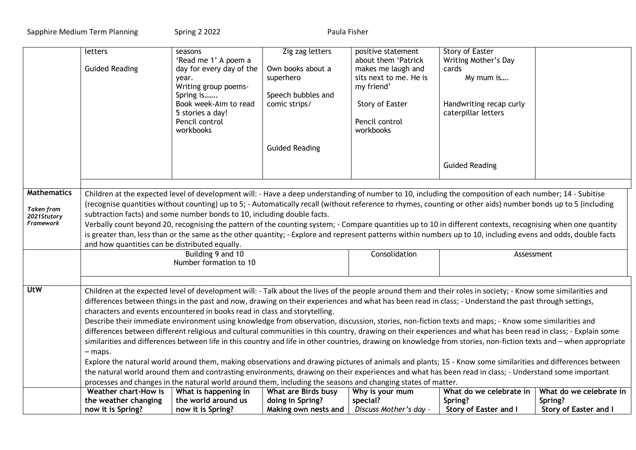Sapphire Medium Term Planning Spring 2 2022 Spring 2 2021

|                                  | letters                                                                                                                                                                                                                                                                                                                                           | seasons                                                                                                                                                                                                                                  | Zig zag letters       | positive statement     | <b>Story of Easter</b>                                                                                                                                   |                         |  |  |
|----------------------------------|---------------------------------------------------------------------------------------------------------------------------------------------------------------------------------------------------------------------------------------------------------------------------------------------------------------------------------------------------|------------------------------------------------------------------------------------------------------------------------------------------------------------------------------------------------------------------------------------------|-----------------------|------------------------|----------------------------------------------------------------------------------------------------------------------------------------------------------|-------------------------|--|--|
|                                  |                                                                                                                                                                                                                                                                                                                                                   | 'Read me 1' A poem a                                                                                                                                                                                                                     |                       | about them 'Patrick    | Writing Mother's Day                                                                                                                                     |                         |  |  |
|                                  | <b>Guided Reading</b>                                                                                                                                                                                                                                                                                                                             | day for every day of the                                                                                                                                                                                                                 | Own books about a     | makes me laugh and     | cards                                                                                                                                                    |                         |  |  |
|                                  |                                                                                                                                                                                                                                                                                                                                                   | year.                                                                                                                                                                                                                                    | superhero             | sits next to me. He is | My mum is                                                                                                                                                |                         |  |  |
|                                  |                                                                                                                                                                                                                                                                                                                                                   | Writing group poems-                                                                                                                                                                                                                     |                       | my friend'             |                                                                                                                                                          |                         |  |  |
|                                  |                                                                                                                                                                                                                                                                                                                                                   | Spring is                                                                                                                                                                                                                                | Speech bubbles and    |                        |                                                                                                                                                          |                         |  |  |
|                                  |                                                                                                                                                                                                                                                                                                                                                   | Book week-Aim to read                                                                                                                                                                                                                    | comic strips/         | Story of Easter        | Handwriting recap curly                                                                                                                                  |                         |  |  |
|                                  |                                                                                                                                                                                                                                                                                                                                                   | 5 stories a day!                                                                                                                                                                                                                         |                       |                        | caterpillar letters                                                                                                                                      |                         |  |  |
|                                  |                                                                                                                                                                                                                                                                                                                                                   | Pencil control                                                                                                                                                                                                                           |                       | Pencil control         |                                                                                                                                                          |                         |  |  |
|                                  |                                                                                                                                                                                                                                                                                                                                                   | workbooks                                                                                                                                                                                                                                |                       | workbooks              |                                                                                                                                                          |                         |  |  |
|                                  |                                                                                                                                                                                                                                                                                                                                                   |                                                                                                                                                                                                                                          | <b>Guided Reading</b> |                        |                                                                                                                                                          |                         |  |  |
|                                  |                                                                                                                                                                                                                                                                                                                                                   |                                                                                                                                                                                                                                          |                       |                        | <b>Guided Reading</b>                                                                                                                                    |                         |  |  |
|                                  |                                                                                                                                                                                                                                                                                                                                                   |                                                                                                                                                                                                                                          |                       |                        |                                                                                                                                                          |                         |  |  |
|                                  |                                                                                                                                                                                                                                                                                                                                                   |                                                                                                                                                                                                                                          |                       |                        |                                                                                                                                                          |                         |  |  |
| <b>Mathematics</b>               |                                                                                                                                                                                                                                                                                                                                                   |                                                                                                                                                                                                                                          |                       |                        | Children at the expected level of development will: - Have a deep understanding of number to 10, including the composition of each number; 14 - Subitise |                         |  |  |
|                                  |                                                                                                                                                                                                                                                                                                                                                   |                                                                                                                                                                                                                                          |                       |                        |                                                                                                                                                          |                         |  |  |
| <b>Taken</b> from<br>2021Stutory |                                                                                                                                                                                                                                                                                                                                                   | (recognise quantities without counting) up to 5; - Automatically recall (without reference to rhymes, counting or other aids) number bonds up to 5 (including<br>subtraction facts) and some number bonds to 10, including double facts. |                       |                        |                                                                                                                                                          |                         |  |  |
| Framework                        | Verbally count beyond 20, recognising the pattern of the counting system; - Compare quantities up to 10 in different contexts, recognising when one quantity                                                                                                                                                                                      |                                                                                                                                                                                                                                          |                       |                        |                                                                                                                                                          |                         |  |  |
|                                  | is greater than, less than or the same as the other quantity; - Explore and represent patterns within numbers up to 10, including evens and odds, double facts                                                                                                                                                                                    |                                                                                                                                                                                                                                          |                       |                        |                                                                                                                                                          |                         |  |  |
|                                  | and how quantities can be distributed equally.                                                                                                                                                                                                                                                                                                    |                                                                                                                                                                                                                                          |                       |                        |                                                                                                                                                          |                         |  |  |
|                                  |                                                                                                                                                                                                                                                                                                                                                   | Building 9 and 10                                                                                                                                                                                                                        |                       | Consolidation          | Assessment                                                                                                                                               |                         |  |  |
|                                  | Number formation to 10                                                                                                                                                                                                                                                                                                                            |                                                                                                                                                                                                                                          |                       |                        |                                                                                                                                                          |                         |  |  |
|                                  |                                                                                                                                                                                                                                                                                                                                                   |                                                                                                                                                                                                                                          |                       |                        |                                                                                                                                                          |                         |  |  |
|                                  |                                                                                                                                                                                                                                                                                                                                                   |                                                                                                                                                                                                                                          |                       |                        |                                                                                                                                                          |                         |  |  |
| <b>UtW</b>                       | Children at the expected level of development will: - Talk about the lives of the people around them and their roles in society; - Know some similarities and                                                                                                                                                                                     |                                                                                                                                                                                                                                          |                       |                        |                                                                                                                                                          |                         |  |  |
|                                  |                                                                                                                                                                                                                                                                                                                                                   |                                                                                                                                                                                                                                          |                       |                        | differences between things in the past and now, drawing on their experiences and what has been read in class; - Understand the past through settings,    |                         |  |  |
|                                  |                                                                                                                                                                                                                                                                                                                                                   | characters and events encountered in books read in class and storytelling.                                                                                                                                                               |                       |                        |                                                                                                                                                          |                         |  |  |
|                                  |                                                                                                                                                                                                                                                                                                                                                   |                                                                                                                                                                                                                                          |                       |                        | Describe their immediate environment using knowledge from observation, discussion, stories, non-fiction texts and maps; - Know some similarities and     |                         |  |  |
|                                  |                                                                                                                                                                                                                                                                                                                                                   |                                                                                                                                                                                                                                          |                       |                        |                                                                                                                                                          |                         |  |  |
|                                  | differences between different religious and cultural communities in this country, drawing on their experiences and what has been read in class; - Explain some<br>similarities and differences between life in this country and life in other countries, drawing on knowledge from stories, non-fiction texts and - when appropriate<br>$-$ maps. |                                                                                                                                                                                                                                          |                       |                        |                                                                                                                                                          |                         |  |  |
|                                  |                                                                                                                                                                                                                                                                                                                                                   |                                                                                                                                                                                                                                          |                       |                        |                                                                                                                                                          |                         |  |  |
|                                  |                                                                                                                                                                                                                                                                                                                                                   |                                                                                                                                                                                                                                          |                       |                        |                                                                                                                                                          |                         |  |  |
|                                  | Explore the natural world around them, making observations and drawing pictures of animals and plants; 15 - Know some similarities and differences between<br>the natural world around them and contrasting environments, drawing on their experiences and what has been read in class; - Understand some important                               |                                                                                                                                                                                                                                          |                       |                        |                                                                                                                                                          |                         |  |  |
|                                  | processes and changes in the natural world around them, including the seasons and changing states of matter.                                                                                                                                                                                                                                      |                                                                                                                                                                                                                                          |                       |                        |                                                                                                                                                          |                         |  |  |
|                                  | Weather chart-How is                                                                                                                                                                                                                                                                                                                              | What is happening in                                                                                                                                                                                                                     | What are Birds busy   | Why is your mum        | What do we celebrate in                                                                                                                                  | What do we celebrate in |  |  |
|                                  | the weather changing                                                                                                                                                                                                                                                                                                                              | the world around us                                                                                                                                                                                                                      | doing in Spring?      | special?               | Spring?                                                                                                                                                  | Spring?                 |  |  |
|                                  | now it is Spring?                                                                                                                                                                                                                                                                                                                                 | now it is Spring?                                                                                                                                                                                                                        | Making own nests and  | Discuss Mother's day - | Story of Easter and I                                                                                                                                    | Story of Easter and I   |  |  |
|                                  |                                                                                                                                                                                                                                                                                                                                                   |                                                                                                                                                                                                                                          |                       |                        |                                                                                                                                                          |                         |  |  |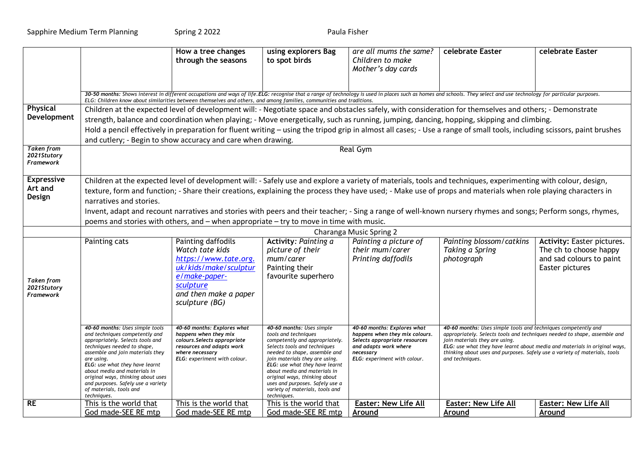|                                                      |                                                                                                                                                                                                                                                                                                                                                                                                                                                                                                                                                                                                                      | How a tree changes<br>through the seasons                                                                                                                            | using explorers Bag<br>to spot birds                                                                                                                                                                                                                                                                                                                                           | are all mums the same?<br>Children to make<br>Mother's day cards                                                                                                     | celebrate Easter                                                                                                                                                                                                                                                                                                                                             | celebrate Easter                                                                                           |  |  |
|------------------------------------------------------|----------------------------------------------------------------------------------------------------------------------------------------------------------------------------------------------------------------------------------------------------------------------------------------------------------------------------------------------------------------------------------------------------------------------------------------------------------------------------------------------------------------------------------------------------------------------------------------------------------------------|----------------------------------------------------------------------------------------------------------------------------------------------------------------------|--------------------------------------------------------------------------------------------------------------------------------------------------------------------------------------------------------------------------------------------------------------------------------------------------------------------------------------------------------------------------------|----------------------------------------------------------------------------------------------------------------------------------------------------------------------|--------------------------------------------------------------------------------------------------------------------------------------------------------------------------------------------------------------------------------------------------------------------------------------------------------------------------------------------------------------|------------------------------------------------------------------------------------------------------------|--|--|
|                                                      | 30-50 months: Shows interest in different occupations and ways of life.ELG: recognise that a range of technology is used in places such as homes and schools. They select and use technology for particular purposes.<br>ELG: Children know about similarities between themselves and others, and among families, communities and traditions.                                                                                                                                                                                                                                                                        |                                                                                                                                                                      |                                                                                                                                                                                                                                                                                                                                                                                |                                                                                                                                                                      |                                                                                                                                                                                                                                                                                                                                                              |                                                                                                            |  |  |
| <b>Physical</b>                                      | Children at the expected level of development will: - Negotiate space and obstacles safely, with consideration for themselves and others; - Demonstrate                                                                                                                                                                                                                                                                                                                                                                                                                                                              |                                                                                                                                                                      |                                                                                                                                                                                                                                                                                                                                                                                |                                                                                                                                                                      |                                                                                                                                                                                                                                                                                                                                                              |                                                                                                            |  |  |
| Development                                          | strength, balance and coordination when playing; - Move energetically, such as running, jumping, dancing, hopping, skipping and climbing.                                                                                                                                                                                                                                                                                                                                                                                                                                                                            |                                                                                                                                                                      |                                                                                                                                                                                                                                                                                                                                                                                |                                                                                                                                                                      |                                                                                                                                                                                                                                                                                                                                                              |                                                                                                            |  |  |
|                                                      | Hold a pencil effectively in preparation for fluent writing - using the tripod grip in almost all cases; - Use a range of small tools, including scissors, paint brushes                                                                                                                                                                                                                                                                                                                                                                                                                                             |                                                                                                                                                                      |                                                                                                                                                                                                                                                                                                                                                                                |                                                                                                                                                                      |                                                                                                                                                                                                                                                                                                                                                              |                                                                                                            |  |  |
|                                                      |                                                                                                                                                                                                                                                                                                                                                                                                                                                                                                                                                                                                                      | and cutlery; - Begin to show accuracy and care when drawing.                                                                                                         |                                                                                                                                                                                                                                                                                                                                                                                |                                                                                                                                                                      |                                                                                                                                                                                                                                                                                                                                                              |                                                                                                            |  |  |
| <b>Taken from</b><br>2021Stutory<br><b>Framework</b> | Real Gym                                                                                                                                                                                                                                                                                                                                                                                                                                                                                                                                                                                                             |                                                                                                                                                                      |                                                                                                                                                                                                                                                                                                                                                                                |                                                                                                                                                                      |                                                                                                                                                                                                                                                                                                                                                              |                                                                                                            |  |  |
| <b>Expressive</b><br>Art and<br>Design               | Children at the expected level of development will: - Safely use and explore a variety of materials, tools and techniques, experimenting with colour, design,<br>texture, form and function; - Share their creations, explaining the process they have used; - Make use of props and materials when role playing characters in<br>narratives and stories.<br>Invent, adapt and recount narratives and stories with peers and their teacher; - Sing a range of well-known nursery rhymes and songs; Perform songs, rhymes,<br>poems and stories with others, and - when appropriate - try to move in time with music. |                                                                                                                                                                      |                                                                                                                                                                                                                                                                                                                                                                                |                                                                                                                                                                      |                                                                                                                                                                                                                                                                                                                                                              |                                                                                                            |  |  |
|                                                      |                                                                                                                                                                                                                                                                                                                                                                                                                                                                                                                                                                                                                      |                                                                                                                                                                      |                                                                                                                                                                                                                                                                                                                                                                                | Charanga Music Spring 2                                                                                                                                              |                                                                                                                                                                                                                                                                                                                                                              |                                                                                                            |  |  |
| <b>Taken</b> from<br>2021Stutory<br><b>Framework</b> | Painting cats                                                                                                                                                                                                                                                                                                                                                                                                                                                                                                                                                                                                        | Painting daffodils<br>Watch tate kids<br>https://www.tate.org.<br>uk/kids/make/sculptur<br>e/make-paper-<br>sculpture<br>and then make a paper<br>sculpture (BG)     | Activity: Painting a<br>picture of their<br>mum/carer<br>Painting their<br>favourite superhero                                                                                                                                                                                                                                                                                 | Painting a picture of<br>their mum/carer<br>Printing daffodils                                                                                                       | Painting blossom/catkins<br>Taking a Spring<br>photograph                                                                                                                                                                                                                                                                                                    | <b>Activity: Easter pictures.</b><br>The ch to choose happy<br>and sad colours to paint<br>Easter pictures |  |  |
|                                                      | 40-60 months: Uses simple tools<br>and techniques competently and<br>appropriately. Selects tools and<br>techniques needed to shape,<br>assemble and join materials they<br>are using.<br>ELG: use what they have learnt<br>about media and materials in<br>original ways, thinking about uses<br>and purposes. Safely use a variety<br>of materials, tools and<br>techniques.                                                                                                                                                                                                                                       | 40-60 months: Explores what<br>happens when they mix<br>colours. Selects appropriate<br>resources and adapts work<br>where necessary<br>ELG: experiment with colour. | 40-60 months: Uses simple<br>tools and techniques<br>competently and appropriately.<br>Selects tools and techniques<br>needed to shape, assemble and<br>join materials they are using.<br>ELG: use what they have learnt<br>about media and materials in<br>original ways, thinking about<br>uses and purposes. Safely use a<br>variety of materials, tools and<br>techniques. | 40-60 months: Explores what<br>happens when they mix colours.<br>Selects appropriate resources<br>and adapts work where<br>necessary<br>ELG: experiment with colour. | 40-60 months: Uses simple tools and techniques competently and<br>appropriately. Selects tools and techniques needed to shape, assemble and<br>join materials they are using.<br>ELG: use what they have learnt about media and materials in original ways,<br>thinking about uses and purposes. Safely use a variety of materials, tools<br>and techniques. |                                                                                                            |  |  |
| RE                                                   | This is the world that<br>God made-SEE RE mtp                                                                                                                                                                                                                                                                                                                                                                                                                                                                                                                                                                        | This is the world that<br>God made-SEE RE mtp                                                                                                                        | This is the world that<br>God made-SEE RE mtp                                                                                                                                                                                                                                                                                                                                  | <b>Easter: New Life All</b><br>Around                                                                                                                                | <b>Easter: New Life All</b><br>Around                                                                                                                                                                                                                                                                                                                        | <b>Easter: New Life All</b><br>Around                                                                      |  |  |